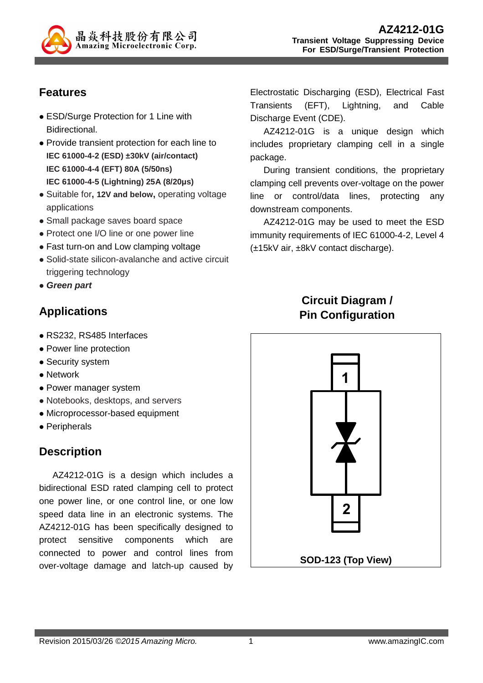

# **Features**

- ESD/Surge Protection for 1 Line with Bidirectional.
- Provide transient protection for each line to **IEC 61000-4-2 (ESD) ±30kV (air/contact) IEC 61000-4-4 (EFT) 80A (5/50ns) IEC 61000-4-5 (Lightning) 25A (8/20µs)**
- Suitable for**, 12V and below,** operating voltage applications
- Small package saves board space
- Protect one I/O line or one power line
- Fast turn-on and Low clamping voltage
- Solid-state silicon-avalanche and active circuit triggering technology
- **Green part**

## **Applications**

- RS232, RS485 Interfaces
- Power line protection
- Security system
- Network
- Power manager system
- Notebooks, desktops, and servers
- Microprocessor-based equipment
- Peripherals

## **Description**

AZ4212-01G is a design which includes a bidirectional ESD rated clamping cell to protect one power line, or one control line, or one low speed data line in an electronic systems. The AZ4212-01G has been specifically designed to protect sensitive components which are connected to power and control lines from over-voltage damage and latch-up caused by Electrostatic Discharging (ESD), Electrical Fast Transients (EFT), Lightning, and Cable Discharge Event (CDE).

AZ4212-01G is a unique design which includes proprietary clamping cell in a single package.

During transient conditions, the proprietary clamping cell prevents over-voltage on the power line or control/data lines, protecting any downstream components.

AZ4212-01G may be used to meet the ESD immunity requirements of IEC 61000-4-2, Level 4 (±15kV air, ±8kV contact discharge).

## **Circuit Diagram / Pin Configuration**

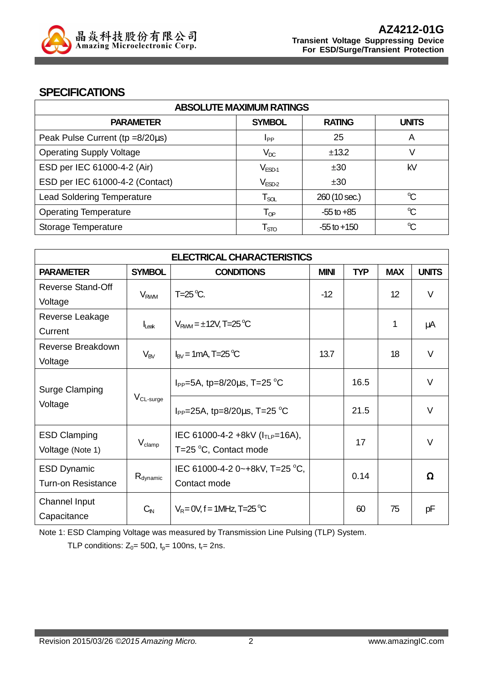

### **SPECIFICATIONS**

| <b>ABSOLUTE MAXIMUM RATINGS</b>   |                            |                 |              |
|-----------------------------------|----------------------------|-----------------|--------------|
| <b>PARAMETER</b>                  | <b>SYMBOL</b>              | <b>RATING</b>   | <b>UNITS</b> |
| Peak Pulse Current (tp =8/20µs)   | <b>I</b> <sub>PP</sub>     | 25              | A            |
| <b>Operating Supply Voltage</b>   | $V_{DC}$                   | ±13.2           | V            |
| ESD per IEC 61000-4-2 (Air)       | $V_{ESD-1}$                | ±30             | kV           |
| ESD per IEC 61000-4-2 (Contact)   | $\rm V_{ESD-2}$            | ±30             |              |
| <b>Lead Soldering Temperature</b> | $T_{SOL}$                  | 260 (10 sec.)   | $\mathrm{C}$ |
| <b>Operating Temperature</b>      | $\mathsf{T}_{\textsf{OP}}$ | $-55$ to $+85$  | $\mathrm{C}$ |
| Storage Temperature               | $\mathsf{T}_{\text{STO}}$  | $-55$ to $+150$ | $\mathrm{C}$ |

| <b>ELECTRICAL CHARACTERISTICS</b> |                        |                                         |             |            |            |              |
|-----------------------------------|------------------------|-----------------------------------------|-------------|------------|------------|--------------|
| <b>PARAMETER</b>                  | <b>SYMBOL</b>          | <b>CONDITIONS</b>                       | <b>MINI</b> | <b>TYP</b> | <b>MAX</b> | <b>UNITS</b> |
| <b>Reverse Stand-Off</b>          | <b>V<sub>RWM</sub></b> | $T=25^{\circ}C$ .                       | $-12$       |            | 12         | $\vee$       |
| Voltage                           |                        |                                         |             |            |            |              |
| Reverse Leakage                   |                        | $V_{\text{RWM}} = \pm 12V$ , T=25 °C    |             |            | 1          |              |
| Current                           | lLeak                  |                                         |             |            |            | μA           |
| Reverse Breakdown                 | $V_{BV}$               | $I_{\text{RV}}$ = 1 mA, T=25 °C         | 13.7        |            | 18         | $\vee$       |
| Voltage                           |                        |                                         |             |            |            |              |
|                                   | $V_{CL\text{-}surge}$  | $I_{PP}$ =5A, tp=8/20 $\mu$ s, T=25 °C  |             | 16.5       |            | $\vee$       |
| <b>Surge Clamping</b>             |                        |                                         |             |            |            |              |
| Voltage                           |                        | $I_{PP}$ =25A, tp=8/20 $\mu$ s, T=25 °C |             | 21.5       |            | $\vee$       |
|                                   |                        |                                         |             |            |            |              |
| <b>ESD Clamping</b>               | $V_{\text{clamp}}$     | IEC 61000-4-2 +8kV ( $I_{TLP}$ =16A),   |             | 17         |            | $\vee$       |
| Voltage (Note 1)                  |                        | T=25 °C, Contact mode                   |             |            |            |              |
| <b>ESD Dynamic</b>                |                        | IEC 61000-4-2 0~+8kV, T=25 °C,          |             |            |            |              |
| <b>Turn-on Resistance</b>         | $R_{\text{dynamic}}$   | Contact mode                            |             | 0.14       |            | Ω            |
| Channel Input                     |                        | $V_R = 0V$ , f = 1MHz, T=25 °C          |             |            |            |              |
| Capacitance                       | $C_{\text{IN}}$        |                                         |             | 60         | 75         | рF           |

Note 1: ESD Clamping Voltage was measured by Transmission Line Pulsing (TLP) System.

TLP conditions:  $Z_0 = 50\Omega$ ,  $t_p = 100$ ns,  $t_r = 2$ ns.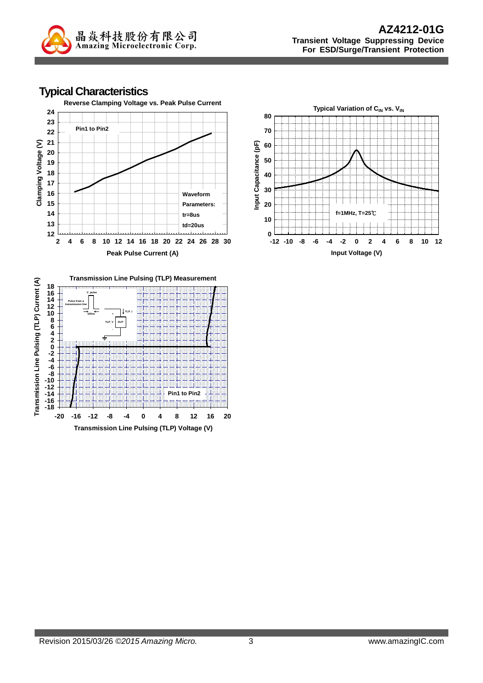

### **Typical Characteristics**





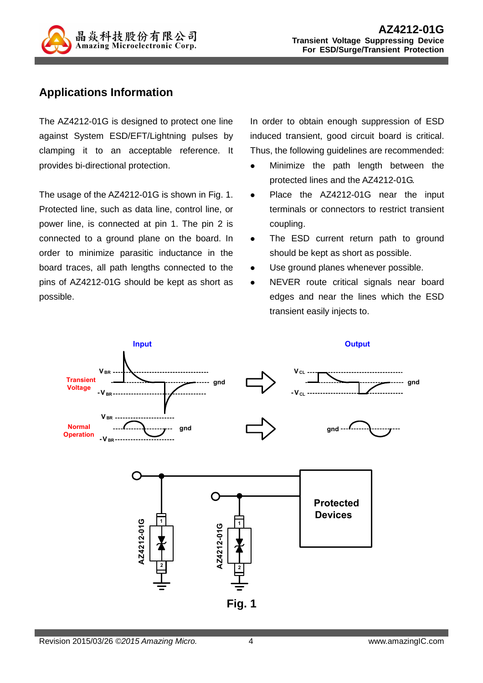

## **Applications Information**

The AZ4212-01G is designed to protect one line against System ESD/EFT/Lightning pulses by clamping it to an acceptable reference. It provides bi-directional protection.

The usage of the AZ4212-01G is shown in Fig. 1. Protected line, such as data line, control line, or power line, is connected at pin 1. The pin 2 is connected to a ground plane on the board. In order to minimize parasitic inductance in the board traces, all path lengths connected to the pins of AZ4212-01G should be kept as short as possible.

In order to obtain enough suppression of ESD induced transient, good circuit board is critical. Thus, the following guidelines are recommended:

- Minimize the path length between the protected lines and the AZ4212-01G.
- Place the AZ4212-01G near the input terminals or connectors to restrict transient coupling.
- The ESD current return path to ground should be kept as short as possible.
- Use ground planes whenever possible.
- NEVER route critical signals near board edges and near the lines which the ESD transient easily injects to.

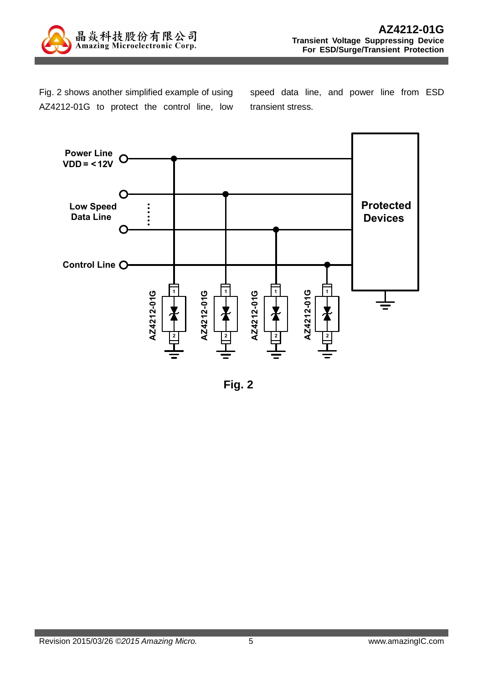

Fig. 2 shows another simplified example of using AZ4212-01G to protect the control line, low speed data line, and power line from ESD transient stress.



**Fig. 2**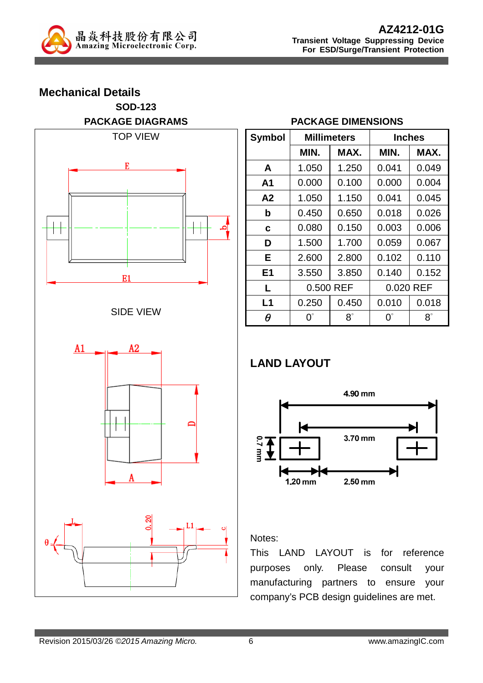

**Mechanical Details**

# **SOD-123 PACKAGE DIAGRAMS**  TOP VIEW E



E1



### **PACKAGE DIMENSIONS**

| <b>Symbol</b>  |             | <b>Millimeters</b> |           | <b>Inches</b> |  |  |
|----------------|-------------|--------------------|-----------|---------------|--|--|
|                | MIN.        | MAX.               | MIN.      | MAX.          |  |  |
| A              | 1.050       | 1.250              | 0.041     | 0.049         |  |  |
| A1             | 0.000       | 0.100              | 0.000     | 0.004         |  |  |
| A2             | 1.050       | 1.150              | 0.041     | 0.045         |  |  |
| b              | 0.450       | 0.650              | 0.018     | 0.026         |  |  |
| C              | 0.080       | 0.150              | 0.003     | 0.006         |  |  |
| D              | 1.500       | 1.700              | 0.059     | 0.067         |  |  |
| Е              | 2.600       | 2.800              | 0.102     | 0.110         |  |  |
| E <sub>1</sub> | 3.550       | 3.850              | 0.140     | 0.152         |  |  |
| L              | 0.500 REF   |                    | 0.020 REF |               |  |  |
| L1             | 0.250       | 0.450              | 0.010     | 0.018         |  |  |
| θ              | $0^{\circ}$ | $8^\circ$          | ∩°        | $8^\circ$     |  |  |

## **LAND LAYOUT**



#### Notes:

This LAND LAYOUT is for reference purposes only. Please consult your manufacturing partners to ensure your company's PCB design guidelines are met.